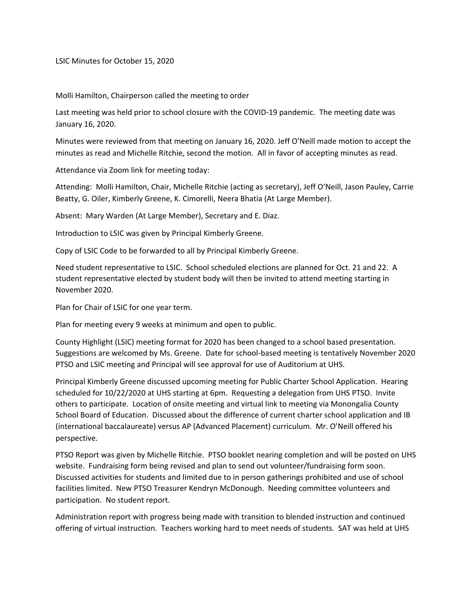LSIC Minutes for October 15, 2020

Molli Hamilton, Chairperson called the meeting to order

Last meeting was held prior to school closure with the COVID-19 pandemic. The meeting date was January 16, 2020.

Minutes were reviewed from that meeting on January 16, 2020. Jeff O'Neill made motion to accept the minutes as read and Michelle Ritchie, second the motion. All in favor of accepting minutes as read.

Attendance via Zoom link for meeting today:

Attending: Molli Hamilton, Chair, Michelle Ritchie (acting as secretary), Jeff O'Neill, Jason Pauley, Carrie Beatty, G. Oiler, Kimberly Greene, K. Cimorelli, Neera Bhatia (At Large Member).

Absent: Mary Warden (At Large Member), Secretary and E. Diaz.

Introduction to LSIC was given by Principal Kimberly Greene.

Copy of LSIC Code to be forwarded to all by Principal Kimberly Greene.

Need student representative to LSIC. School scheduled elections are planned for Oct. 21 and 22. A student representative elected by student body will then be invited to attend meeting starting in November 2020.

Plan for Chair of LSIC for one year term.

Plan for meeting every 9 weeks at minimum and open to public.

County Highlight (LSIC) meeting format for 2020 has been changed to a school based presentation. Suggestions are welcomed by Ms. Greene. Date for school-based meeting is tentatively November 2020 PTSO and LSIC meeting and Principal will see approval for use of Auditorium at UHS.

Principal Kimberly Greene discussed upcoming meeting for Public Charter School Application. Hearing scheduled for 10/22/2020 at UHS starting at 6pm. Requesting a delegation from UHS PTSO. Invite others to participate. Location of onsite meeting and virtual link to meeting via Monongalia County School Board of Education. Discussed about the difference of current charter school application and IB (international baccalaureate) versus AP (Advanced Placement) curriculum. Mr. O'Neill offered his perspective.

PTSO Report was given by Michelle Ritchie. PTSO booklet nearing completion and will be posted on UHS website. Fundraising form being revised and plan to send out volunteer/fundraising form soon. Discussed activities for students and limited due to in person gatherings prohibited and use of school facilities limited. New PTSO Treasurer Kendryn McDonough. Needing committee volunteers and participation. No student report.

Administration report with progress being made with transition to blended instruction and continued offering of virtual instruction. Teachers working hard to meet needs of students. SAT was held at UHS